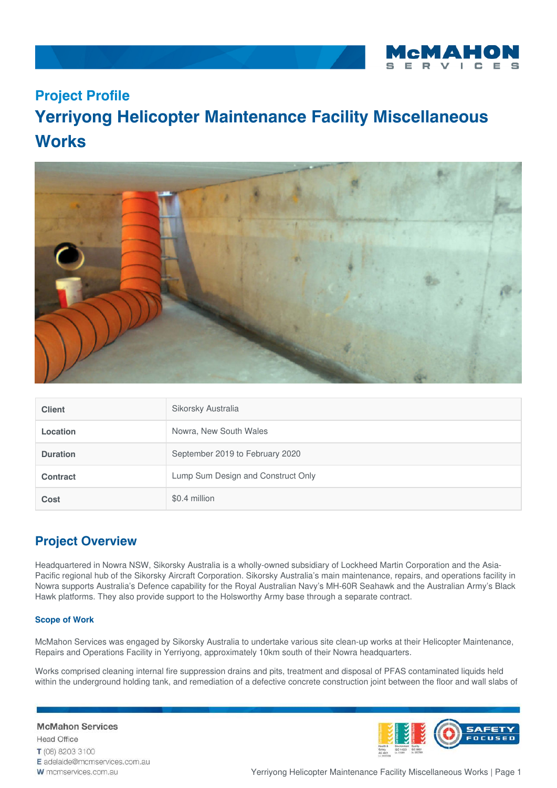

## **Project Profile**

# **Yerriyong Helicopter Maintenance Facility Miscellaneous Works**



| <b>Client</b>   | Sikorsky Australia                 |
|-----------------|------------------------------------|
| Location        | Nowra, New South Wales             |
| <b>Duration</b> | September 2019 to February 2020    |
| <b>Contract</b> | Lump Sum Design and Construct Only |
| <b>Cost</b>     | \$0.4 million                      |

### **Project Overview**

Headquartered in Nowra NSW, Sikorsky Australia is a wholly-owned subsidiary of Lockheed Martin Corporation and the Asia-Pacific regional hub of the Sikorsky Aircraft Corporation. Sikorsky Australia's main maintenance, repairs, and operations facility in Nowra supports Australia's Defence capability for the Royal Australian Navy's MH-60R Seahawk and the Australian Army's Black Hawk platforms. They also provide support to the Holsworthy Army base through a separate contract.

#### **Scope of Work**

McMahon Services was engaged by Sikorsky Australia to undertake various site clean-up works at their Helicopter Maintenance, Repairs and Operations Facility in Yerriyong, approximately 10km south of their Nowra headquarters.

Works comprised cleaning internal fire suppression drains and pits, treatment and disposal of PFAS contaminated liquids held within the underground holding tank, and remediation of a defective concrete construction joint between the floor and wall slabs of

#### **McMahon Services**

**Head Office** T (08) 8203 3100 E adelaide@mcmservices.com.au W mcmservices.com.au